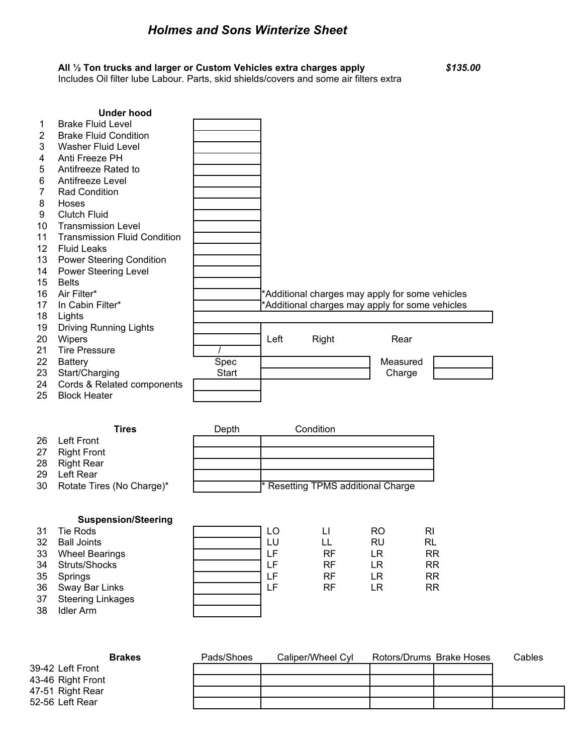## *Holmes and Sons Winterize Sheet*

## **All ½ Ton trucks and larger or Custom Vehicles extra charges apply** *\$135.00*

Includes Oil filter lube Labour. Parts, skid shields/covers and some air filters extra

|                 | <b>Under hood</b>                   |                               |      |                                                 |          |  |
|-----------------|-------------------------------------|-------------------------------|------|-------------------------------------------------|----------|--|
| 1               | <b>Brake Fluid Level</b>            |                               |      |                                                 |          |  |
| $\overline{2}$  | <b>Brake Fluid Condition</b>        |                               |      |                                                 |          |  |
| 3               | <b>Washer Fluid Level</b>           |                               |      |                                                 |          |  |
| 4               | Anti Freeze PH                      |                               |      |                                                 |          |  |
| 5               | Antifreeze Rated to                 |                               |      |                                                 |          |  |
| 6               | Antifreeze Level                    |                               |      |                                                 |          |  |
| 7               | <b>Rad Condition</b>                |                               |      |                                                 |          |  |
| 8               | Hoses                               |                               |      |                                                 |          |  |
| 9               | <b>Clutch Fluid</b>                 |                               |      |                                                 |          |  |
| 10              | <b>Transmission Level</b>           |                               |      |                                                 |          |  |
| 11              | <b>Transmission Fluid Condition</b> |                               |      |                                                 |          |  |
| 12 <sup>°</sup> | <b>Fluid Leaks</b>                  |                               |      |                                                 |          |  |
| 13              | <b>Power Steering Condition</b>     |                               |      |                                                 |          |  |
| 14              | <b>Power Steering Level</b>         |                               |      |                                                 |          |  |
| 15              | <b>Belts</b>                        |                               |      |                                                 |          |  |
| 16              | Air Filter*                         |                               |      | *Additional charges may apply for some vehicles |          |  |
| 17              | In Cabin Filter*                    |                               |      | *Additional charges may apply for some vehicles |          |  |
| 18              | Lights                              |                               |      |                                                 |          |  |
| 19              | <b>Driving Running Lights</b>       |                               |      |                                                 |          |  |
| 20              | Wipers                              |                               | Left | Right                                           | Rear     |  |
| 21              | <b>Tire Pressure</b>                |                               |      |                                                 |          |  |
| 22              | <b>Battery</b>                      | Spec                          |      |                                                 | Measured |  |
| 23              | Start/Charging                      | <b>Start</b>                  |      |                                                 | Charge   |  |
| 24              | Cords & Related components          |                               |      |                                                 |          |  |
| 25              | <b>Block Heater</b>                 |                               |      |                                                 |          |  |
|                 |                                     |                               |      |                                                 |          |  |
|                 |                                     | $\mathbf{D}$ and $\mathbf{D}$ |      | $\sim$ $\sim$ $\sim$ $\sim$ $\sim$              |          |  |

|     | Tires                        | Depth | Condition                                     |
|-----|------------------------------|-------|-----------------------------------------------|
| -26 | Left Front                   |       |                                               |
| 27  | Right Front                  |       |                                               |
| 28  | Right Rear                   |       |                                               |
| 29  | Left Rear                    |       |                                               |
|     | 30 Rotate Tires (No Charge)* |       | <sup>*</sup> Resetting TPMS additional Charge |

## **Suspension/Steering**

| 31 | <b>Tie Rods</b>          | LO |           | RO | RI        |
|----|--------------------------|----|-----------|----|-----------|
| 32 | <b>Ball Joints</b>       | LU |           | RU | RL        |
| 33 | <b>Wheel Bearings</b>    | LF | RF        | LR | <b>RR</b> |
| 34 | Struts/Shocks            | LF | RF        | LR | <b>RR</b> |
| 35 | Springs                  | LF | <b>RF</b> | LR | <b>RR</b> |
| 36 | Sway Bar Links           | LF | <b>RF</b> | LR | <b>RR</b> |
| 37 | <b>Steering Linkages</b> |    |           |    |           |
| 38 | <b>Idler Arm</b>         |    |           |    |           |
|    |                          |    |           |    |           |

| <b>Brakes</b>     | Pads/Shoes | Caliper/Wheel Cvl | Rotors/Drums Brake Hoses | Cables |
|-------------------|------------|-------------------|--------------------------|--------|
| 39-42 Left Front  |            |                   |                          |        |
| 43-46 Right Front |            |                   |                          |        |
| 47-51 Right Rear  |            |                   |                          |        |
| 52-56 Left Rear   |            |                   |                          |        |